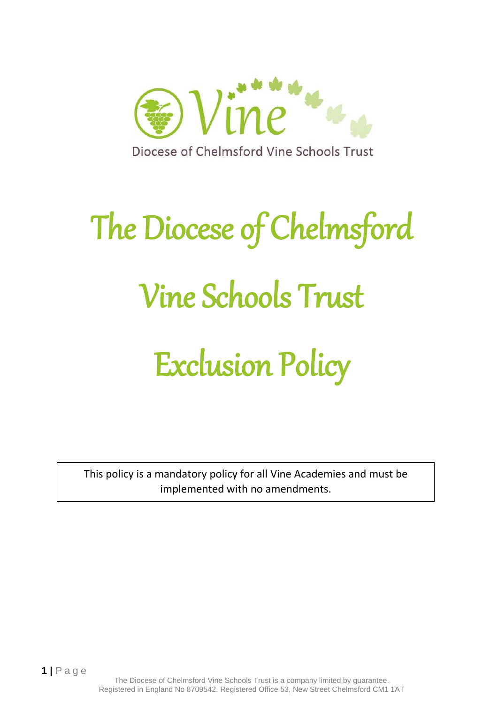

# The Diocese of Chelmsford Vine Schools Trust Exclusion Policy

This policy is a mandatory policy for all Vine Academies and must be implemented with no amendments.

**1 |** P a g e

The Diocese of Chelmsford Vine Schools Trust is a company limited by guarantee. Registered in England No 8709542. Registered Office 53, New Street Chelmsford CM1 1AT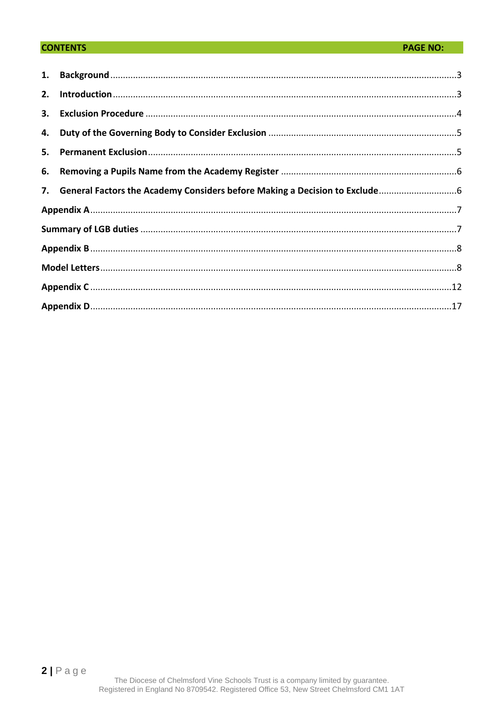## **CONTENTS**

| 2. |                                                                              |  |  |
|----|------------------------------------------------------------------------------|--|--|
|    |                                                                              |  |  |
| 4. |                                                                              |  |  |
| 5. |                                                                              |  |  |
|    |                                                                              |  |  |
|    | 7. General Factors the Academy Considers before Making a Decision to Exclude |  |  |
|    |                                                                              |  |  |
|    |                                                                              |  |  |
|    |                                                                              |  |  |
|    |                                                                              |  |  |
|    |                                                                              |  |  |
|    |                                                                              |  |  |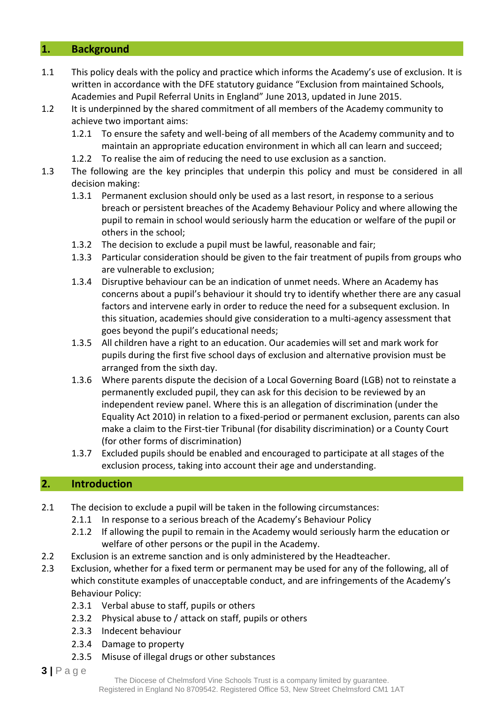## <span id="page-2-0"></span>**1. Background**

- 1.1 This policy deals with the policy and practice which informs the Academy's use of exclusion. It is written in accordance with the DFE statutory guidance "Exclusion from maintained Schools, Academies and Pupil Referral Units in England" June 2013, updated in June 2015.
- 1.2 It is underpinned by the shared commitment of all members of the Academy community to achieve two important aims:
	- 1.2.1 To ensure the safety and well-being of all members of the Academy community and to maintain an appropriate education environment in which all can learn and succeed;
	- 1.2.2 To realise the aim of reducing the need to use exclusion as a sanction.
- 1.3 The following are the key principles that underpin this policy and must be considered in all decision making:
	- 1.3.1 Permanent exclusion should only be used as a last resort, in response to a serious breach or persistent breaches of the Academy Behaviour Policy and where allowing the pupil to remain in school would seriously harm the education or welfare of the pupil or others in the school;
	- 1.3.2 The decision to exclude a pupil must be lawful, reasonable and fair;
	- 1.3.3 Particular consideration should be given to the fair treatment of pupils from groups who are vulnerable to exclusion;
	- 1.3.4 Disruptive behaviour can be an indication of unmet needs. Where an Academy has concerns about a pupil's behaviour it should try to identify whether there are any casual factors and intervene early in order to reduce the need for a subsequent exclusion. In this situation, academies should give consideration to a multi-agency assessment that goes beyond the pupil's educational needs;
	- 1.3.5 All children have a right to an education. Our academies will set and mark work for pupils during the first five school days of exclusion and alternative provision must be arranged from the sixth day.
	- 1.3.6 Where parents dispute the decision of a Local Governing Board (LGB) not to reinstate a permanently excluded pupil, they can ask for this decision to be reviewed by an independent review panel. Where this is an allegation of discrimination (under the Equality Act 2010) in relation to a fixed-period or permanent exclusion, parents can also make a claim to the First-tier Tribunal (for disability discrimination) or a County Court (for other forms of discrimination)
	- 1.3.7 Excluded pupils should be enabled and encouraged to participate at all stages of the exclusion process, taking into account their age and understanding.

## <span id="page-2-1"></span>**2. Introduction**

- 2.1 The decision to exclude a pupil will be taken in the following circumstances:
	- 2.1.1 In response to a serious breach of the Academy's Behaviour Policy
	- 2.1.2 If allowing the pupil to remain in the Academy would seriously harm the education or welfare of other persons or the pupil in the Academy.
- 2.2 Exclusion is an extreme sanction and is only administered by the Headteacher.
- 2.3 Exclusion, whether for a fixed term or permanent may be used for any of the following, all of which constitute examples of unacceptable conduct, and are infringements of the Academy's Behaviour Policy:
	- 2.3.1 Verbal abuse to staff, pupils or others
	- 2.3.2 Physical abuse to / attack on staff, pupils or others
	- 2.3.3 Indecent behaviour
	- 2.3.4 Damage to property
	- 2.3.5 Misuse of illegal drugs or other substances
- **3 |** P a g e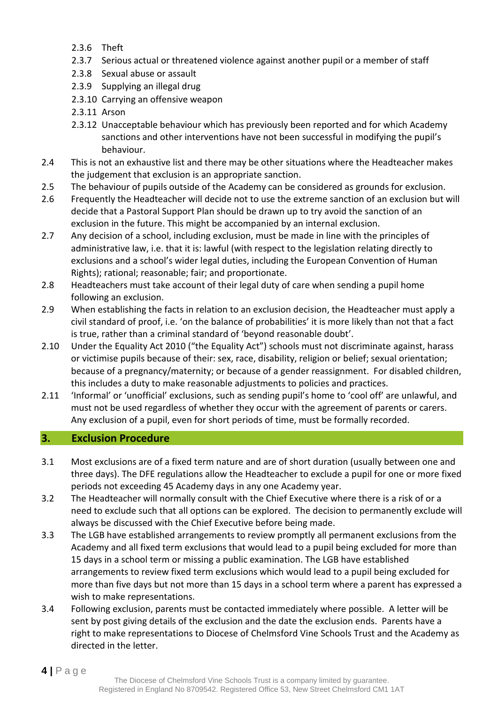- 2.3.6 Theft
- 2.3.7 Serious actual or threatened violence against another pupil or a member of staff
- 2.3.8 Sexual abuse or assault
- 2.3.9 Supplying an illegal drug
- 2.3.10 Carrying an offensive weapon
- 2.3.11 Arson
- 2.3.12 Unacceptable behaviour which has previously been reported and for which Academy sanctions and other interventions have not been successful in modifying the pupil's behaviour.
- 2.4 This is not an exhaustive list and there may be other situations where the Headteacher makes the judgement that exclusion is an appropriate sanction.
- 2.5 The behaviour of pupils outside of the Academy can be considered as grounds for exclusion.
- 2.6 Frequently the Headteacher will decide not to use the extreme sanction of an exclusion but will decide that a Pastoral Support Plan should be drawn up to try avoid the sanction of an exclusion in the future. This might be accompanied by an internal exclusion.
- 2.7 Any decision of a school, including exclusion, must be made in line with the principles of administrative law, i.e. that it is: lawful (with respect to the legislation relating directly to exclusions and a school's wider legal duties, including the European Convention of Human Rights); rational; reasonable; fair; and proportionate.
- 2.8 Headteachers must take account of their legal duty of care when sending a pupil home following an exclusion.
- 2.9 When establishing the facts in relation to an exclusion decision, the Headteacher must apply a civil standard of proof, i.e. 'on the balance of probabilities' it is more likely than not that a fact is true, rather than a criminal standard of 'beyond reasonable doubt'.
- 2.10 Under the Equality Act 2010 ("the Equality Act") schools must not discriminate against, harass or victimise pupils because of their: sex, race, disability, religion or belief; sexual orientation; because of a pregnancy/maternity; or because of a gender reassignment. For disabled children, this includes a duty to make reasonable adjustments to policies and practices.
- 2.11 'Informal' or 'unofficial' exclusions, such as sending pupil's home to 'cool off' are unlawful, and must not be used regardless of whether they occur with the agreement of parents or carers. Any exclusion of a pupil, even for short periods of time, must be formally recorded.

# <span id="page-3-0"></span>**3. Exclusion Procedure**

- 3.1 Most exclusions are of a fixed term nature and are of short duration (usually between one and three days). The DFE regulations allow the Headteacher to exclude a pupil for one or more fixed periods not exceeding 45 Academy days in any one Academy year.
- 3.2 The Headteacher will normally consult with the Chief Executive where there is a risk of or a need to exclude such that all options can be explored. The decision to permanently exclude will always be discussed with the Chief Executive before being made.
- 3.3 The LGB have established arrangements to review promptly all permanent exclusions from the Academy and all fixed term exclusions that would lead to a pupil being excluded for more than 15 days in a school term or missing a public examination. The LGB have established arrangements to review fixed term exclusions which would lead to a pupil being excluded for more than five days but not more than 15 days in a school term where a parent has expressed a wish to make representations.
- 3.4 Following exclusion, parents must be contacted immediately where possible. A letter will be sent by post giving details of the exclusion and the date the exclusion ends. Parents have a right to make representations to Diocese of Chelmsford Vine Schools Trust and the Academy as directed in the letter.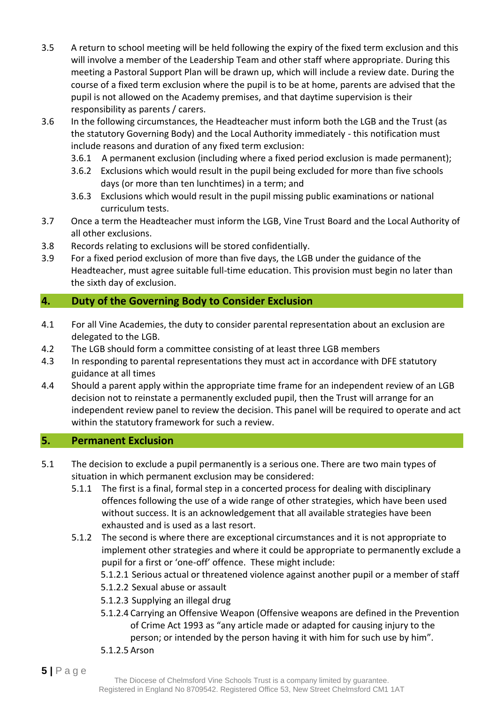- 3.5 A return to school meeting will be held following the expiry of the fixed term exclusion and this will involve a member of the Leadership Team and other staff where appropriate. During this meeting a Pastoral Support Plan will be drawn up, which will include a review date. During the course of a fixed term exclusion where the pupil is to be at home, parents are advised that the pupil is not allowed on the Academy premises, and that daytime supervision is their responsibility as parents / carers.
- 3.6 In the following circumstances, the Headteacher must inform both the LGB and the Trust (as the statutory Governing Body) and the Local Authority immediately - this notification must include reasons and duration of any fixed term exclusion:
	- 3.6.1 A permanent exclusion (including where a fixed period exclusion is made permanent);
	- 3.6.2 Exclusions which would result in the pupil being excluded for more than five schools days (or more than ten lunchtimes) in a term; and
	- 3.6.3 Exclusions which would result in the pupil missing public examinations or national curriculum tests.
- 3.7 Once a term the Headteacher must inform the LGB, Vine Trust Board and the Local Authority of all other exclusions.
- 3.8 Records relating to exclusions will be stored confidentially.
- 3.9 For a fixed period exclusion of more than five days, the LGB under the guidance of the Headteacher, must agree suitable full-time education. This provision must begin no later than the sixth day of exclusion.

# <span id="page-4-0"></span>**4. Duty of the Governing Body to Consider Exclusion**

- 4.1 For all Vine Academies, the duty to consider parental representation about an exclusion are delegated to the LGB.
- 4.2 The LGB should form a committee consisting of at least three LGB members
- 4.3 In responding to parental representations they must act in accordance with DFE statutory guidance at all times
- 4.4 Should a parent apply within the appropriate time frame for an independent review of an LGB decision not to reinstate a permanently excluded pupil, then the Trust will arrange for an independent review panel to review the decision. This panel will be required to operate and act within the statutory framework for such a review.

# <span id="page-4-1"></span>**5. Permanent Exclusion**

- 5.1 The decision to exclude a pupil permanently is a serious one. There are two main types of situation in which permanent exclusion may be considered:
	- 5.1.1 The first is a final, formal step in a concerted process for dealing with disciplinary offences following the use of a wide range of other strategies, which have been used without success. It is an acknowledgement that all available strategies have been exhausted and is used as a last resort.
	- 5.1.2 The second is where there are exceptional circumstances and it is not appropriate to implement other strategies and where it could be appropriate to permanently exclude a pupil for a first or 'one-off' offence. These might include:

5.1.2.1 Serious actual or threatened violence against another pupil or a member of staff

- 5.1.2.2 Sexual abuse or assault
- 5.1.2.3 Supplying an illegal drug
- 5.1.2.4 Carrying an Offensive Weapon (Offensive weapons are defined in the Prevention of Crime Act 1993 as "any article made or adapted for causing injury to the person; or intended by the person having it with him for such use by him".
- 5.1.2.5 Arson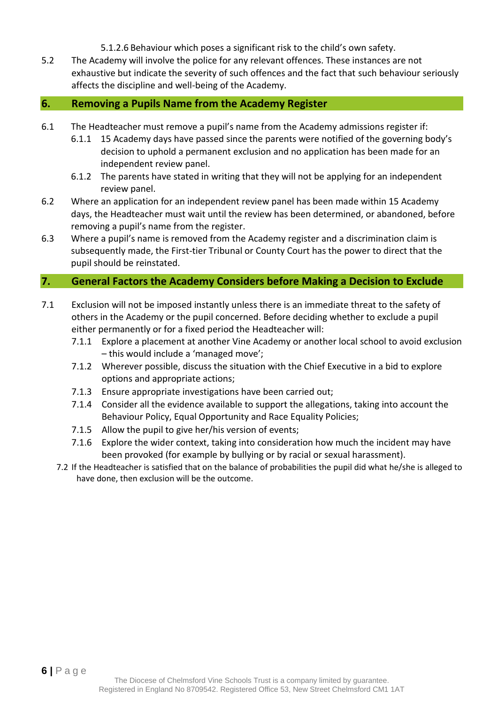- 5.1.2.6 Behaviour which poses a significant risk to the child's own safety.
- 5.2 The Academy will involve the police for any relevant offences. These instances are not exhaustive but indicate the severity of such offences and the fact that such behaviour seriously affects the discipline and well-being of the Academy.

#### <span id="page-5-0"></span>**6. Removing a Pupils Name from the Academy Register**

- 6.1 The Headteacher must remove a pupil's name from the Academy admissions register if:
	- 6.1.1 15 Academy days have passed since the parents were notified of the governing body's decision to uphold a permanent exclusion and no application has been made for an independent review panel.
	- 6.1.2 The parents have stated in writing that they will not be applying for an independent review panel.
- 6.2 Where an application for an independent review panel has been made within 15 Academy days, the Headteacher must wait until the review has been determined, or abandoned, before removing a pupil's name from the register.
- 6.3 Where a pupil's name is removed from the Academy register and a discrimination claim is subsequently made, the First-tier Tribunal or County Court has the power to direct that the pupil should be reinstated.

#### <span id="page-5-1"></span>**7. General Factors the Academy Considers before Making a Decision to Exclude**

- 7.1 Exclusion will not be imposed instantly unless there is an immediate threat to the safety of others in the Academy or the pupil concerned. Before deciding whether to exclude a pupil either permanently or for a fixed period the Headteacher will:
	- 7.1.1 Explore a placement at another Vine Academy or another local school to avoid exclusion – this would include a 'managed move';
	- 7.1.2 Wherever possible, discuss the situation with the Chief Executive in a bid to explore options and appropriate actions;
	- 7.1.3 Ensure appropriate investigations have been carried out;
	- 7.1.4 Consider all the evidence available to support the allegations, taking into account the Behaviour Policy, Equal Opportunity and Race Equality Policies;
	- 7.1.5 Allow the pupil to give her/his version of events;
	- 7.1.6 Explore the wider context, taking into consideration how much the incident may have been provoked (for example by bullying or by racial or sexual harassment).
	- 7.2 If the Headteacher is satisfied that on the balance of probabilities the pupil did what he/she is alleged to have done, then exclusion will be the outcome.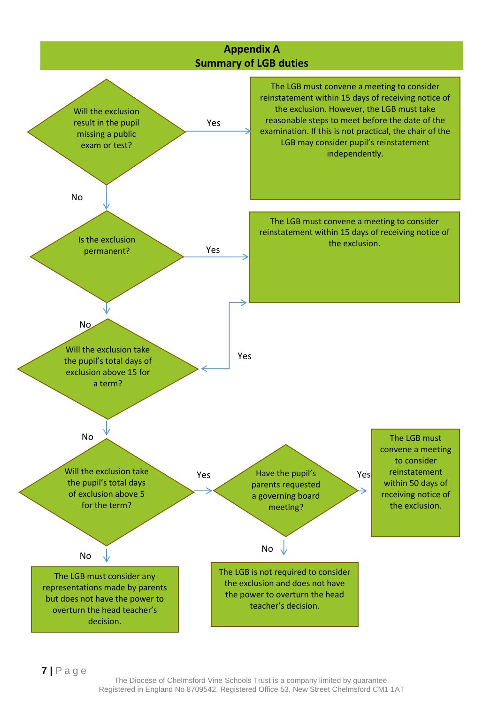<span id="page-6-1"></span><span id="page-6-0"></span>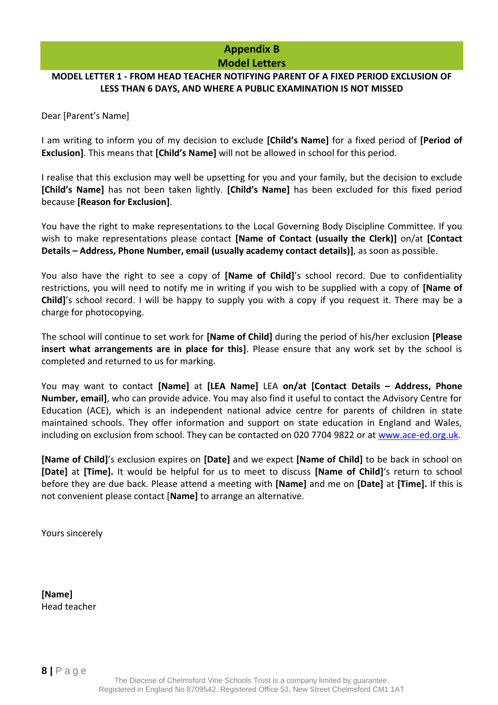# **Appendix B Model Letters**

#### <span id="page-7-1"></span><span id="page-7-0"></span>**MODEL LETTER 1 - FROM HEAD TEACHER NOTIFYING PARENT OF A FIXED PERIOD EXCLUSION OF LESS THAN 6 DAYS, AND WHERE A PUBLIC EXAMINATION IS NOT MISSED**

Dear [Parent's Name]

I am writing to inform you of my decision to exclude **[Child's Name]** for a fixed period of **[Period of Exclusion]**. This means that **[Child's Name]** will not be allowed in school for this period.

I realise that this exclusion may well be upsetting for you and your family, but the decision to exclude **[Child's Name]** has not been taken lightly. **[Child's Name]** has been excluded for this fixed period because **[Reason for Exclusion]**.

You have the right to make representations to the Local Governing Body Discipline Committee. If you wish to make representations please contact **[Name of Contact (usually the Clerk)]** on/at **[Contact Details – Address, Phone Number, email (usually academy contact details)]**, as soon as possible.

You also have the right to see a copy of **[Name of Child]**'s school record. Due to confidentiality restrictions, you will need to notify me in writing if you wish to be supplied with a copy of **[Name of Child]**'s school record. I will be happy to supply you with a copy if you request it. There may be a charge for photocopying.

The school will continue to set work for **[Name of Child]** during the period of his/her exclusion **[Please insert what arrangements are in place for this]**. Please ensure that any work set by the school is completed and returned to us for marking.

You may want to contact **[Name]** at **[LEA Name]** LEA **on/at [Contact Details – Address, Phone Number, email]**, who can provide advice. You may also find it useful to contact the Advisory Centre for Education (ACE), which is an independent national advice centre for parents of children in state maintained schools. They offer information and support on state education in England and Wales, including on exclusion from school. They can be contacted on 020 7704 9822 or at [www.ace-ed.org.uk.](http://www.ace-ed.org.uk/)

**[Name of Child]**'s exclusion expires on **[Date]** and we expect **[Name of Child]** to be back in school on **[Date]** at **[Time].** It would be helpful for us to meet to discuss **[Name of Child]**'s return to school before they are due back. Please attend a meeting with **[Name]** and me on **[Date]** at **[Time].** If this is not convenient please contact [**Name]** to arrange an alternative.

Yours sincerely

**[Name]**  Head teacher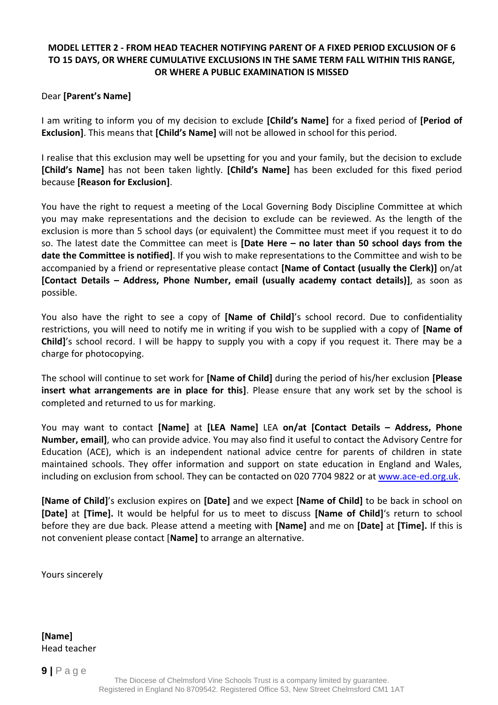## **MODEL LETTER 2 - FROM HEAD TEACHER NOTIFYING PARENT OF A FIXED PERIOD EXCLUSION OF 6 TO 15 DAYS, OR WHERE CUMULATIVE EXCLUSIONS IN THE SAME TERM FALL WITHIN THIS RANGE, OR WHERE A PUBLIC EXAMINATION IS MISSED**

#### Dear **[Parent's Name]**

I am writing to inform you of my decision to exclude **[Child's Name]** for a fixed period of **[Period of Exclusion]**. This means that **[Child's Name]** will not be allowed in school for this period.

I realise that this exclusion may well be upsetting for you and your family, but the decision to exclude **[Child's Name]** has not been taken lightly. **[Child's Name]** has been excluded for this fixed period because **[Reason for Exclusion]**.

You have the right to request a meeting of the Local Governing Body Discipline Committee at which you may make representations and the decision to exclude can be reviewed. As the length of the exclusion is more than 5 school days (or equivalent) the Committee must meet if you request it to do so. The latest date the Committee can meet is **[Date Here – no later than 50 school days from the date the Committee is notified]**. If you wish to make representations to the Committee and wish to be accompanied by a friend or representative please contact **[Name of Contact (usually the Clerk)]** on/at **[Contact Details – Address, Phone Number, email (usually academy contact details)]**, as soon as possible.

You also have the right to see a copy of **[Name of Child]**'s school record. Due to confidentiality restrictions, you will need to notify me in writing if you wish to be supplied with a copy of **[Name of Child]**'s school record. I will be happy to supply you with a copy if you request it. There may be a charge for photocopying.

The school will continue to set work for **[Name of Child]** during the period of his/her exclusion **[Please insert what arrangements are in place for this]**. Please ensure that any work set by the school is completed and returned to us for marking.

You may want to contact **[Name]** at **[LEA Name]** LEA **on/at [Contact Details – Address, Phone Number, email]**, who can provide advice. You may also find it useful to contact the Advisory Centre for Education (ACE), which is an independent national advice centre for parents of children in state maintained schools. They offer information and support on state education in England and Wales, including on exclusion from school. They can be contacted on 020 7704 9822 or at [www.ace-ed.org.uk.](http://www.ace-ed.org.uk/)

**[Name of Child]**'s exclusion expires on **[Date]** and we expect **[Name of Child]** to be back in school on **[Date]** at **[Time].** It would be helpful for us to meet to discuss **[Name of Child]**'s return to school before they are due back. Please attend a meeting with **[Name]** and me on **[Date]** at **[Time].** If this is not convenient please contact [**Name]** to arrange an alternative.

Yours sincerely

**[Name]**  Head teacher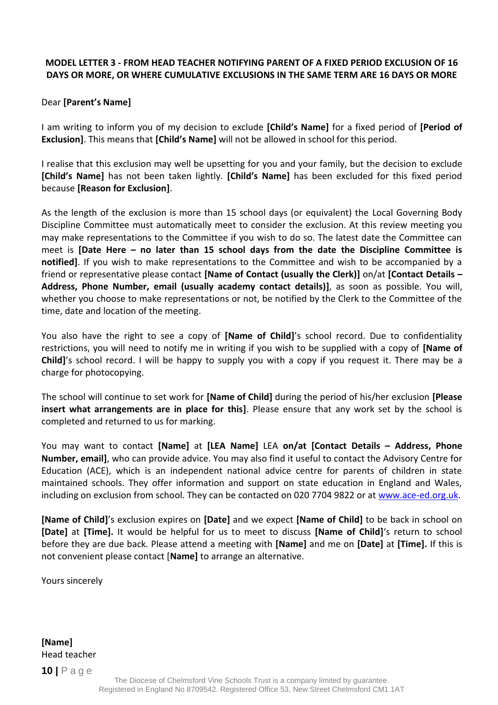## **MODEL LETTER 3 - FROM HEAD TEACHER NOTIFYING PARENT OF A FIXED PERIOD EXCLUSION OF 16 DAYS OR MORE, OR WHERE CUMULATIVE EXCLUSIONS IN THE SAME TERM ARE 16 DAYS OR MORE**

## Dear **[Parent's Name]**

I am writing to inform you of my decision to exclude **[Child's Name]** for a fixed period of **[Period of Exclusion]**. This means that **[Child's Name]** will not be allowed in school for this period.

I realise that this exclusion may well be upsetting for you and your family, but the decision to exclude **[Child's Name]** has not been taken lightly. **[Child's Name]** has been excluded for this fixed period because **[Reason for Exclusion]**.

As the length of the exclusion is more than 15 school days (or equivalent) the Local Governing Body Discipline Committee must automatically meet to consider the exclusion. At this review meeting you may make representations to the Committee if you wish to do so. The latest date the Committee can meet is **[Date Here – no later than 15 school days from the date the Discipline Committee is notified]**. If you wish to make representations to the Committee and wish to be accompanied by a friend or representative please contact **[Name of Contact (usually the Clerk)]** on/at **[Contact Details – Address, Phone Number, email (usually academy contact details)]**, as soon as possible. You will, whether you choose to make representations or not, be notified by the Clerk to the Committee of the time, date and location of the meeting.

You also have the right to see a copy of **[Name of Child]**'s school record. Due to confidentiality restrictions, you will need to notify me in writing if you wish to be supplied with a copy of **[Name of Child]**'s school record. I will be happy to supply you with a copy if you request it. There may be a charge for photocopying.

The school will continue to set work for **[Name of Child]** during the period of his/her exclusion **[Please insert what arrangements are in place for this]**. Please ensure that any work set by the school is completed and returned to us for marking.

You may want to contact **[Name]** at **[LEA Name]** LEA **on/at [Contact Details – Address, Phone Number, email]**, who can provide advice. You may also find it useful to contact the Advisory Centre for Education (ACE), which is an independent national advice centre for parents of children in state maintained schools. They offer information and support on state education in England and Wales, including on exclusion from school. They can be contacted on 020 7704 9822 or at [www.ace-ed.org.uk.](http://www.ace-ed.org.uk/)

**[Name of Child]**'s exclusion expires on **[Date]** and we expect **[Name of Child]** to be back in school on **[Date]** at **[Time].** It would be helpful for us to meet to discuss **[Name of Child]**'s return to school before they are due back. Please attend a meeting with **[Name]** and me on **[Date]** at **[Time].** If this is not convenient please contact [**Name]** to arrange an alternative.

Yours sincerely

**[Name]**  Head teacher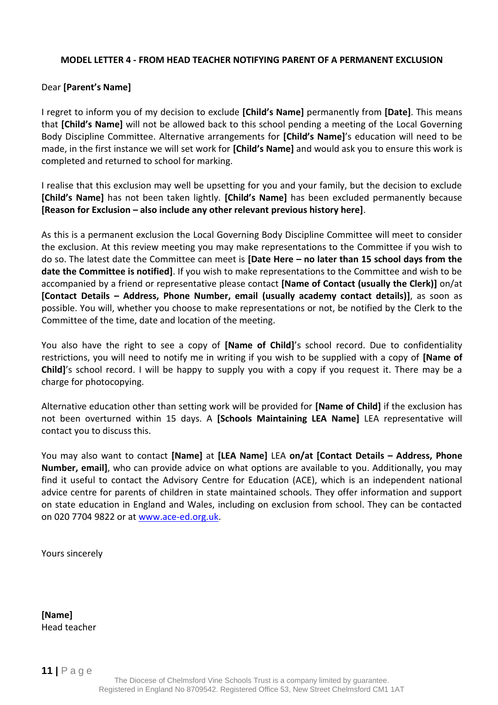#### **MODEL LETTER 4 - FROM HEAD TEACHER NOTIFYING PARENT OF A PERMANENT EXCLUSION**

#### Dear **[Parent's Name]**

I regret to inform you of my decision to exclude **[Child's Name]** permanently from **[Date]**. This means that **[Child's Name]** will not be allowed back to this school pending a meeting of the Local Governing Body Discipline Committee. Alternative arrangements for **[Child's Name]**'s education will need to be made, in the first instance we will set work for **[Child's Name]** and would ask you to ensure this work is completed and returned to school for marking.

I realise that this exclusion may well be upsetting for you and your family, but the decision to exclude **[Child's Name]** has not been taken lightly. **[Child's Name]** has been excluded permanently because **[Reason for Exclusion – also include any other relevant previous history here]**.

As this is a permanent exclusion the Local Governing Body Discipline Committee will meet to consider the exclusion. At this review meeting you may make representations to the Committee if you wish to do so. The latest date the Committee can meet is **[Date Here – no later than 15 school days from the date the Committee is notified]**. If you wish to make representations to the Committee and wish to be accompanied by a friend or representative please contact **[Name of Contact (usually the Clerk)]** on/at **[Contact Details – Address, Phone Number, email (usually academy contact details)]**, as soon as possible. You will, whether you choose to make representations or not, be notified by the Clerk to the Committee of the time, date and location of the meeting.

You also have the right to see a copy of **[Name of Child]**'s school record. Due to confidentiality restrictions, you will need to notify me in writing if you wish to be supplied with a copy of **[Name of Child]**'s school record. I will be happy to supply you with a copy if you request it. There may be a charge for photocopying.

Alternative education other than setting work will be provided for **[Name of Child]** if the exclusion has not been overturned within 15 days. A **[Schools Maintaining LEA Name]** LEA representative will contact you to discuss this.

You may also want to contact **[Name]** at **[LEA Name]** LEA **on/at [Contact Details – Address, Phone Number, email]**, who can provide advice on what options are available to you. Additionally, you may find it useful to contact the Advisory Centre for Education (ACE), which is an independent national advice centre for parents of children in state maintained schools. They offer information and support on state education in England and Wales, including on exclusion from school. They can be contacted on 020 7704 9822 or at [www.ace-ed.org.uk.](http://www.ace-ed.org.uk/)

Yours sincerely

**[Name]**  Head teacher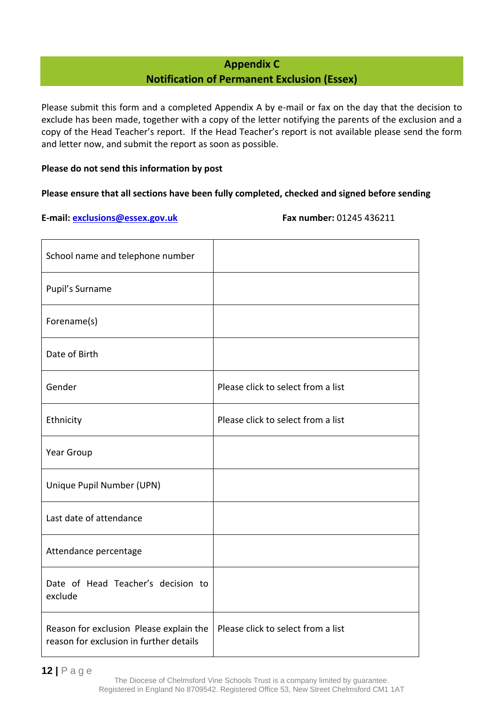# **Appendix C Notification of Permanent Exclusion (Essex)**

<span id="page-11-0"></span>Please submit this form and a completed Appendix A by e-mail or fax on the day that the decision to exclude has been made, together with a copy of the letter notifying the parents of the exclusion and a copy of the Head Teacher's report. If the Head Teacher's report is not available please send the form and letter now, and submit the report as soon as possible.

#### **Please do not send this information by post**

#### **Please ensure that all sections have been fully completed, checked and signed before sending**

**E-mail: [exclusions@essex.gov.uk](mailto:exclusions@essex.gov.uk) Fax number:** 01245 436211

| School name and telephone number                                                   |                                    |
|------------------------------------------------------------------------------------|------------------------------------|
| Pupil's Surname                                                                    |                                    |
| Forename(s)                                                                        |                                    |
| Date of Birth                                                                      |                                    |
| Gender                                                                             | Please click to select from a list |
| Ethnicity                                                                          | Please click to select from a list |
| Year Group                                                                         |                                    |
| Unique Pupil Number (UPN)                                                          |                                    |
| Last date of attendance                                                            |                                    |
| Attendance percentage                                                              |                                    |
| Date of Head Teacher's decision to<br>exclude                                      |                                    |
| Reason for exclusion Please explain the<br>reason for exclusion in further details | Please click to select from a list |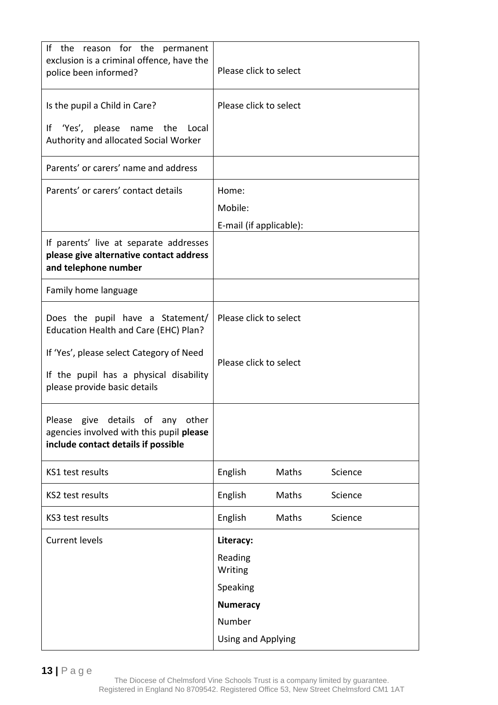| If the reason for the permanent<br>exclusion is a criminal offence, have the<br>police been informed?               | Please click to select    |       |         |  |
|---------------------------------------------------------------------------------------------------------------------|---------------------------|-------|---------|--|
| Is the pupil a Child in Care?                                                                                       | Please click to select    |       |         |  |
| 'Yes', please name the Local<br>١f<br>Authority and allocated Social Worker                                         |                           |       |         |  |
| Parents' or carers' name and address                                                                                |                           |       |         |  |
| Parents' or carers' contact details                                                                                 | Home:                     |       |         |  |
|                                                                                                                     | Mobile:                   |       |         |  |
|                                                                                                                     | E-mail (if applicable):   |       |         |  |
| If parents' live at separate addresses<br>please give alternative contact address<br>and telephone number           |                           |       |         |  |
| Family home language                                                                                                |                           |       |         |  |
| Does the pupil have a Statement/<br>Education Health and Care (EHC) Plan?                                           | Please click to select    |       |         |  |
| If 'Yes', please select Category of Need<br>If the pupil has a physical disability                                  | Please click to select    |       |         |  |
| please provide basic details                                                                                        |                           |       |         |  |
| Please give details of any other<br>agencies involved with this pupil please<br>include contact details if possible |                           |       |         |  |
| KS1 test results                                                                                                    | English                   | Maths | Science |  |
| <b>KS2 test results</b>                                                                                             | English                   | Maths | Science |  |
| KS3 test results                                                                                                    | English                   | Maths | Science |  |
| <b>Current levels</b>                                                                                               | Literacy:                 |       |         |  |
|                                                                                                                     | Reading<br>Writing        |       |         |  |
|                                                                                                                     | Speaking                  |       |         |  |
|                                                                                                                     | <b>Numeracy</b>           |       |         |  |
|                                                                                                                     | Number                    |       |         |  |
|                                                                                                                     | <b>Using and Applying</b> |       |         |  |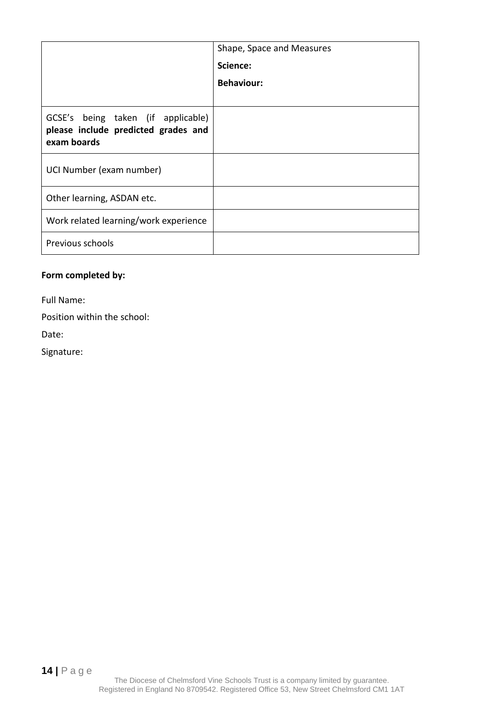|                                                                                          | Shape, Space and Measures |
|------------------------------------------------------------------------------------------|---------------------------|
|                                                                                          | Science:                  |
|                                                                                          | <b>Behaviour:</b>         |
|                                                                                          |                           |
| GCSE's being taken (if applicable)<br>please include predicted grades and<br>exam boards |                           |
| UCI Number (exam number)                                                                 |                           |
| Other learning, ASDAN etc.                                                               |                           |
| Work related learning/work experience                                                    |                           |
| Previous schools                                                                         |                           |

# **Form completed by:**

Full Name:

Position within the school:

Date:

Signature: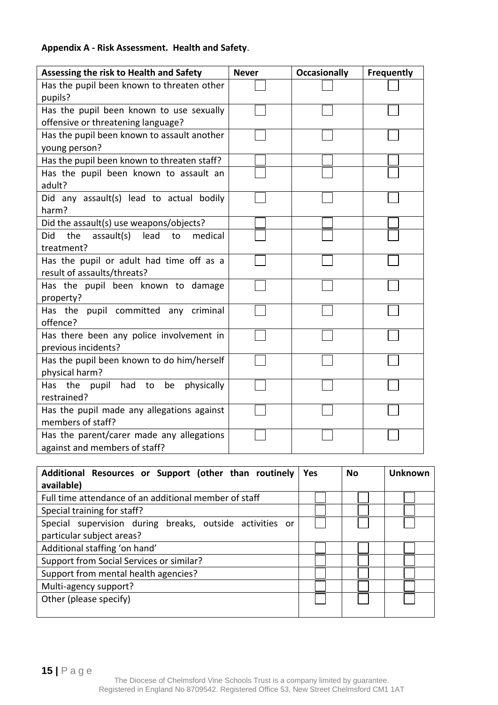# **Appendix A - Risk Assessment. Health and Safety**.

| Assessing the risk to Health and Safety                                        | <b>Never</b> | <b>Occasionally</b> | Frequently |
|--------------------------------------------------------------------------------|--------------|---------------------|------------|
| Has the pupil been known to threaten other<br>pupils?                          |              |                     |            |
| Has the pupil been known to use sexually<br>offensive or threatening language? |              |                     |            |
| Has the pupil been known to assault another<br>young person?                   |              |                     |            |
| Has the pupil been known to threaten staff?                                    |              |                     |            |
| Has the pupil been known to assault an<br>adult?                               |              |                     |            |
| Did any assault(s) lead to actual bodily<br>harm?                              |              |                     |            |
| Did the assault(s) use weapons/objects?                                        |              |                     |            |
| assault(s) lead to<br>Did<br>the<br>medical<br>treatment?                      |              |                     |            |
| Has the pupil or adult had time off as a<br>result of assaults/threats?        |              |                     |            |
| Has the pupil been known to damage<br>property?                                |              |                     |            |
| Has the pupil committed any criminal<br>offence?                               |              |                     |            |
| Has there been any police involvement in<br>previous incidents?                |              |                     |            |
| Has the pupil been known to do him/herself<br>physical harm?                   |              |                     |            |
| Has the<br>pupil had<br>be physically<br>to<br>restrained?                     |              |                     |            |
| Has the pupil made any allegations against<br>members of staff?                |              |                     |            |
| Has the parent/carer made any allegations<br>against and members of staff?     |              |                     |            |

| Additional Resources or Support (other than routinely    | <b>Yes</b> | <b>No</b> | <b>Unknown</b> |
|----------------------------------------------------------|------------|-----------|----------------|
| available)                                               |            |           |                |
| Full time attendance of an additional member of staff    |            |           |                |
| Special training for staff?                              |            |           |                |
| Special supervision during breaks, outside activities or |            |           |                |
| particular subject areas?                                |            |           |                |
| Additional staffing 'on hand'                            |            |           |                |
| Support from Social Services or similar?                 |            |           |                |
| Support from mental health agencies?                     |            |           |                |
| Multi-agency support?                                    |            |           |                |
| Other (please specify)                                   |            |           |                |
|                                                          |            |           |                |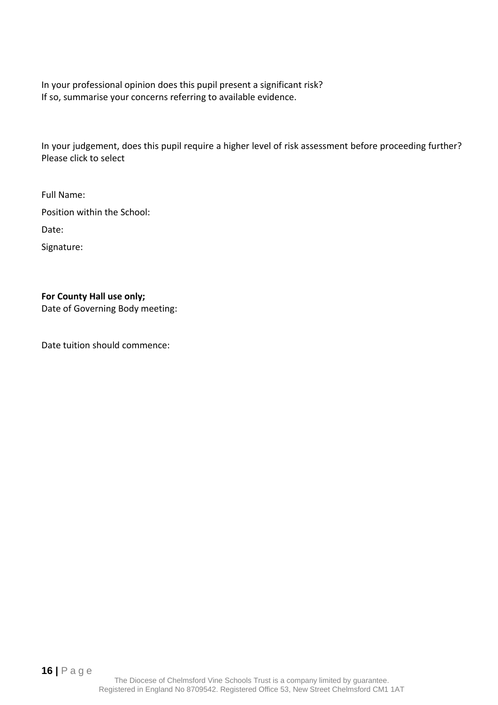In your professional opinion does this pupil present a significant risk? If so, summarise your concerns referring to available evidence.

In your judgement, does this pupil require a higher level of risk assessment before proceeding further? Please click to select

Full Name: Position within the School: Date:

Signature:

## **For County Hall use only;**

Date of Governing Body meeting:

Date tuition should commence: